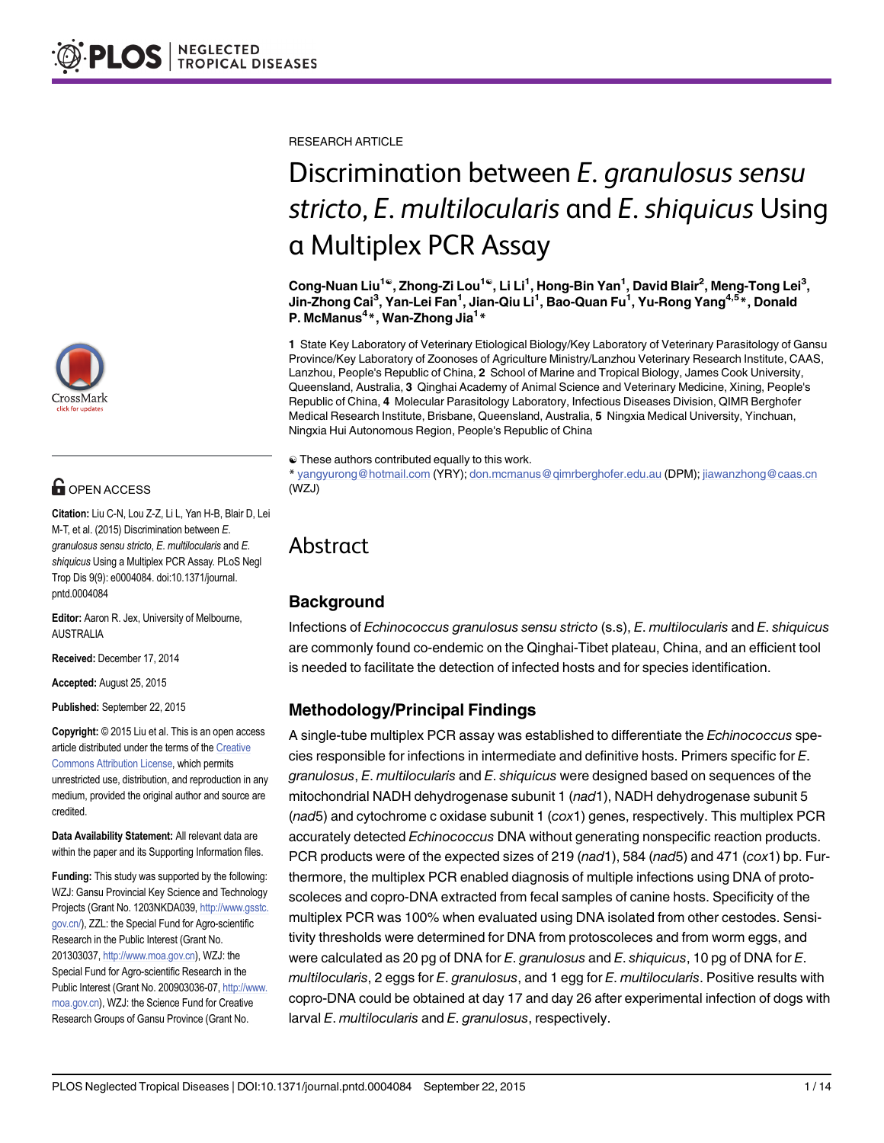

# **G** OPEN ACCESS

Citation: Liu C-N, Lou Z-Z, Li L, Yan H-B, Blair D, Lei M-T, et al. (2015) Discrimination between E. granulosus sensu stricto, E. multilocularis and E. shiquicus Using a Multiplex PCR Assay. PLoS Negl Trop Dis 9(9): e0004084. doi:10.1371/journal. pntd.0004084

Editor: Aaron R. Jex, University of Melbourne, AUSTRALIA

Received: December 17, 2014

Accepted: August 25, 2015

Published: September 22, 2015

Copyright: © 2015 Liu et al. This is an open access article distributed under the terms of the [Creative](http://creativecommons.org/licenses/by/4.0/) [Commons Attribution License](http://creativecommons.org/licenses/by/4.0/), which permits unrestricted use, distribution, and reproduction in any medium, provided the original author and source are credited.

Data Availability Statement: All relevant data are within the paper and its Supporting Information files.

Funding: This study was supported by the following: WZJ: Gansu Provincial Key Science and Technology Projects (Grant No. 1203NKDA039, [http://www.gsstc.](http://www.gsstc.gov.cn/) [gov.cn/](http://www.gsstc.gov.cn/)), ZZL: the Special Fund for Agro-scientific Research in the Public Interest (Grant No. 201303037, <http://www.moa.gov.cn>), WZJ: the Special Fund for Agro-scientific Research in the Public Interest (Grant No. 200903036-07, [http://www.](http://www.moa.gov.cn) [moa.gov.cn\)](http://www.moa.gov.cn), WZJ: the Science Fund for Creative Research Groups of Gansu Province (Grant No.

RESEARCH ARTICLE

# Discrimination between E. granulosus sensu stricto, E. multilocularis and E. shiquicus Using a Multiplex PCR Assay

Cong-Nuan Liu<sup>1©</sup>, Zhong-Zi Lou<sup>1©</sup>, Li Li<sup>1</sup>, Hong-Bin Yan<sup>1</sup>, David Blair<sup>2</sup>, Meng-Tong Lei<sup>3</sup>, Jin-Zhong Cai<sup>3</sup>, Yan-Lei Fan<sup>1</sup>, Jian-Qiu Li<sup>1</sup>, Bao-Quan Fu<sup>1</sup>, Yu-Rong Yang<sup>4,5</sup>\*, Donald P. McManus<sup>4\*</sup>, Wan-Zhong Jia<sup>1\*</sup>

1 State Key Laboratory of Veterinary Etiological Biology/Key Laboratory of Veterinary Parasitology of Gansu Province/Key Laboratory of Zoonoses of Agriculture Ministry/Lanzhou Veterinary Research Institute, CAAS, Lanzhou, People's Republic of China, 2 School of Marine and Tropical Biology, James Cook University, Queensland, Australia, 3 Qinghai Academy of Animal Science and Veterinary Medicine, Xining, People's Republic of China, 4 Molecular Parasitology Laboratory, Infectious Diseases Division, QIMR Berghofer Medical Research Institute, Brisbane, Queensland, Australia, 5 Ningxia Medical University, Yinchuan, Ningxia Hui Autonomous Region, People's Republic of China

☯ These authors contributed equally to this work.

\* yangyurong@hotmail.com (YRY); don.mcmanus@qimrberghofer.edu.au (DPM); jiawanzhong@caas.cn (WZJ)

## Abstract

## Background

Infections of Echinococcus granulosus sensu stricto (s.s), E. multilocularis and E. shiquicus are commonly found co-endemic on the Qinghai-Tibet plateau, China, and an efficient tool is needed to facilitate the detection of infected hosts and for species identification.

## Methodology/Principal Findings

A single-tube multiplex PCR assay was established to differentiate the Echinococcus species responsible for infections in intermediate and definitive hosts. Primers specific for E. granulosus, E. multilocularis and E. shiquicus were designed based on sequences of the mitochondrial NADH dehydrogenase subunit 1 (nad1), NADH dehydrogenase subunit 5 (nad5) and cytochrome c oxidase subunit 1 (cox1) genes, respectively. This multiplex PCR accurately detected Echinococcus DNA without generating nonspecific reaction products. PCR products were of the expected sizes of 219 (nad1), 584 (nad5) and 471 (cox1) bp. Furthermore, the multiplex PCR enabled diagnosis of multiple infections using DNA of protoscoleces and copro-DNA extracted from fecal samples of canine hosts. Specificity of the multiplex PCR was 100% when evaluated using DNA isolated from other cestodes. Sensitivity thresholds were determined for DNA from protoscoleces and from worm eggs, and were calculated as 20 pg of DNA for  $E$ . granulosus and  $E$ . shiquicus, 10 pg of DNA for  $E$ . multilocularis, 2 eggs for E. granulosus, and 1 egg for E. multilocularis. Positive results with copro-DNA could be obtained at day 17 and day 26 after experimental infection of dogs with larval E. multilocularis and E. granulosus, respectively.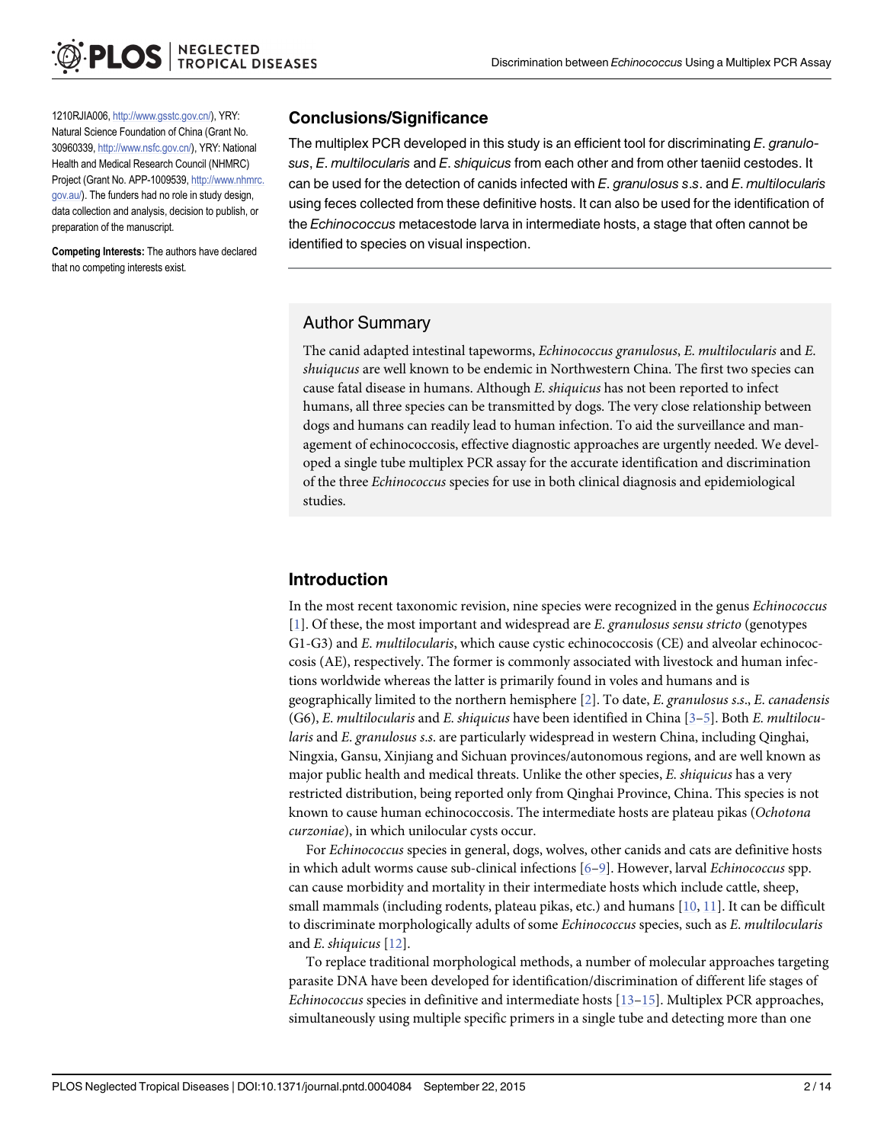<span id="page-1-0"></span>1210RJIA006, <http://www.gsstc.gov.cn/>), YRY: Natural Science Foundation of China (Grant No. 30960339, <http://www.nsfc.gov.cn/>), YRY: National Health and Medical Research Council (NHMRC) Project (Grant No. APP-1009539, [http://www.nhmrc.](http://www.nhmrc.gov.au/) [gov.au/](http://www.nhmrc.gov.au/)). The funders had no role in study design, data collection and analysis, decision to publish, or preparation of the manuscript.

Competing Interests: The authors have declared that no competing interests exist.

#### Conclusions/Significance

The multiplex PCR developed in this study is an efficient tool for discriminating E. granulosus, E. multilocularis and E. shiquicus from each other and from other taeniid cestodes. It can be used for the detection of canids infected with  $E$ . granulosus s.s. and  $E$ . multilocularis using feces collected from these definitive hosts. It can also be used for the identification of the Echinococcus metacestode larva in intermediate hosts, a stage that often cannot be identified to species on visual inspection.

## Author Summary

The canid adapted intestinal tapeworms, Echinococcus granulosus, E. multilocularis and E. shuiqucus are well known to be endemic in Northwestern China. The first two species can cause fatal disease in humans. Although E. shiquicus has not been reported to infect humans, all three species can be transmitted by dogs. The very close relationship between dogs and humans can readily lead to human infection. To aid the surveillance and management of echinococcosis, effective diagnostic approaches are urgently needed. We developed a single tube multiplex PCR assay for the accurate identification and discrimination of the three Echinococcus species for use in both clinical diagnosis and epidemiological studies.

## Introduction

In the most recent taxonomic revision, nine species were recognized in the genus Echinococcus  $[1]$  $[1]$ . Of these, the most important and widespread are E. granulosus sensu stricto (genotypes G1-G3) and E. multilocularis, which cause cystic echinococcosis (CE) and alveolar echinococcosis (AE), respectively. The former is commonly associated with livestock and human infections worldwide whereas the latter is primarily found in voles and humans and is geographically limited to the northern hemisphere  $[2]$ . To date, E. granulosus s.s., E. canadensis  $(G6)$ , E. multilocularis and E. shiquicus have been identified in China  $[3-5]$  $[3-5]$  $[3-5]$  $[3-5]$ . Both E. multilocularis and E. granulosus s.s. are particularly widespread in western China, including Qinghai, Ningxia, Gansu, Xinjiang and Sichuan provinces/autonomous regions, and are well known as major public health and medical threats. Unlike the other species, E. shiquicus has a very restricted distribution, being reported only from Qinghai Province, China. This species is not known to cause human echinococcosis. The intermediate hosts are plateau pikas (Ochotona curzoniae), in which unilocular cysts occur.

For Echinococcus species in general, dogs, wolves, other canids and cats are definitive hosts in which adult worms cause sub-clinical infections [[6](#page-11-0)–[9\]](#page-11-0). However, larval Echinococcus spp. can cause morbidity and mortality in their intermediate hosts which include cattle, sheep, small mammals (including rodents, plateau pikas, etc.) and humans  $[10, 11]$  $[10, 11]$  $[10, 11]$ . It can be difficult to discriminate morphologically adults of some *Echinococcus* species, such as *E. multilocularis* and E. shiquicus  $[12]$ .

To replace traditional morphological methods, a number of molecular approaches targeting parasite DNA have been developed for identification/discrimination of different life stages of *Echinococcus* species in definitive and intermediate hosts  $[13–15]$  $[13–15]$  $[13–15]$  $[13–15]$  $[13–15]$ . Multiplex PCR approaches, simultaneously using multiple specific primers in a single tube and detecting more than one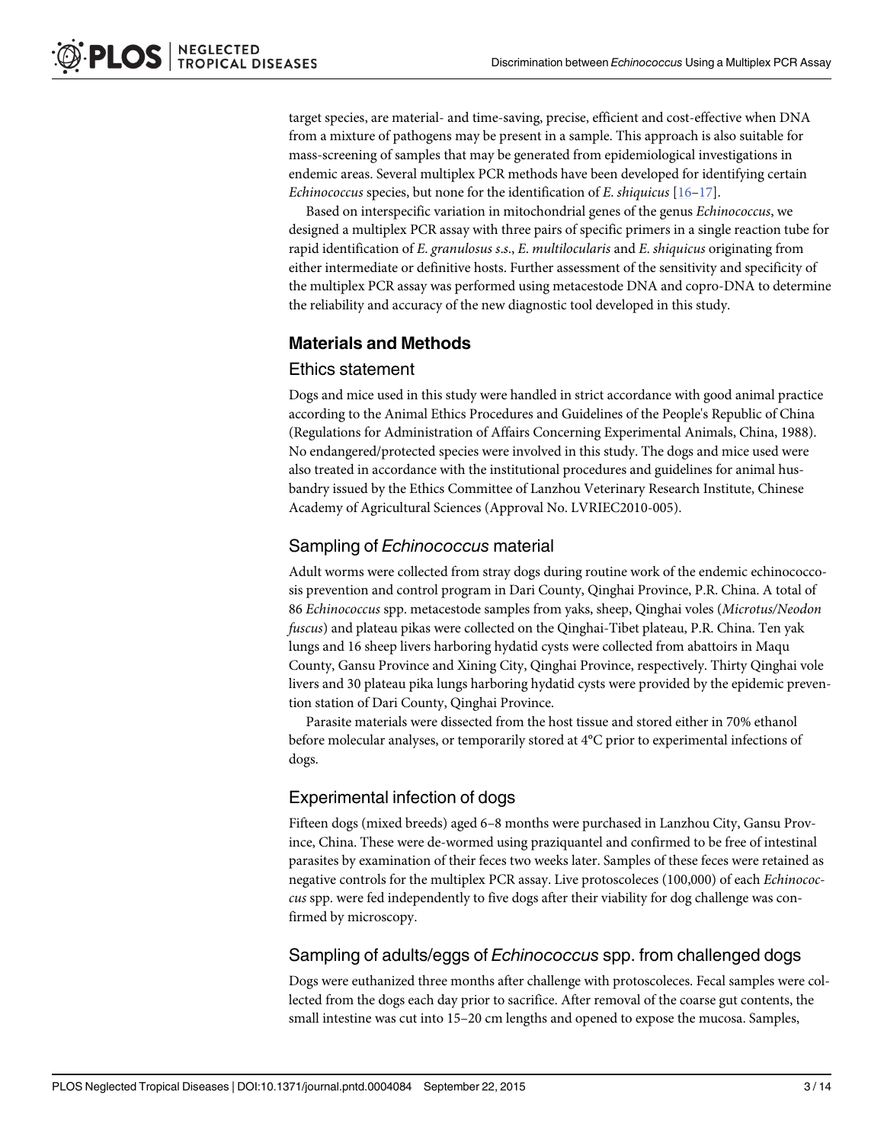<span id="page-2-0"></span>target species, are material- and time-saving, precise, efficient and cost-effective when DNA from a mixture of pathogens may be present in a sample. This approach is also suitable for mass-screening of samples that may be generated from epidemiological investigations in endemic areas. Several multiplex PCR methods have been developed for identifying certain Echinococcus species, but none for the identification of E. shiquicus [[16](#page-11-0)–[17\]](#page-11-0).

Based on interspecific variation in mitochondrial genes of the genus Echinococcus, we designed a multiplex PCR assay with three pairs of specific primers in a single reaction tube for rapid identification of E. granulosus s.s., E. multilocularis and E. shiquicus originating from either intermediate or definitive hosts. Further assessment of the sensitivity and specificity of the multiplex PCR assay was performed using metacestode DNA and copro-DNA to determine the reliability and accuracy of the new diagnostic tool developed in this study.

## Materials and Methods

### Ethics statement

Dogs and mice used in this study were handled in strict accordance with good animal practice according to the Animal Ethics Procedures and Guidelines of the People's Republic of China (Regulations for Administration of Affairs Concerning Experimental Animals, China, 1988). No endangered/protected species were involved in this study. The dogs and mice used were also treated in accordance with the institutional procedures and guidelines for animal husbandry issued by the Ethics Committee of Lanzhou Veterinary Research Institute, Chinese Academy of Agricultural Sciences (Approval No. LVRIEC2010-005).

## Sampling of Echinococcus material

Adult worms were collected from stray dogs during routine work of the endemic echinococcosis prevention and control program in Dari County, Qinghai Province, P.R. China. A total of 86 Echinococcus spp. metacestode samples from yaks, sheep, Qinghai voles (Microtus/Neodon fuscus) and plateau pikas were collected on the Qinghai-Tibet plateau, P.R. China. Ten yak lungs and 16 sheep livers harboring hydatid cysts were collected from abattoirs in Maqu County, Gansu Province and Xining City, Qinghai Province, respectively. Thirty Qinghai vole livers and 30 plateau pika lungs harboring hydatid cysts were provided by the epidemic prevention station of Dari County, Qinghai Province.

Parasite materials were dissected from the host tissue and stored either in 70% ethanol before molecular analyses, or temporarily stored at 4°C prior to experimental infections of dogs.

## Experimental infection of dogs

Fifteen dogs (mixed breeds) aged 6–8 months were purchased in Lanzhou City, Gansu Province, China. These were de-wormed using praziquantel and confirmed to be free of intestinal parasites by examination of their feces two weeks later. Samples of these feces were retained as negative controls for the multiplex PCR assay. Live protoscoleces (100,000) of each Echinococcus spp. were fed independently to five dogs after their viability for dog challenge was confirmed by microscopy.

### Sampling of adults/eggs of Echinococcus spp. from challenged dogs

Dogs were euthanized three months after challenge with protoscoleces. Fecal samples were collected from the dogs each day prior to sacrifice. After removal of the coarse gut contents, the small intestine was cut into 15–20 cm lengths and opened to expose the mucosa. Samples,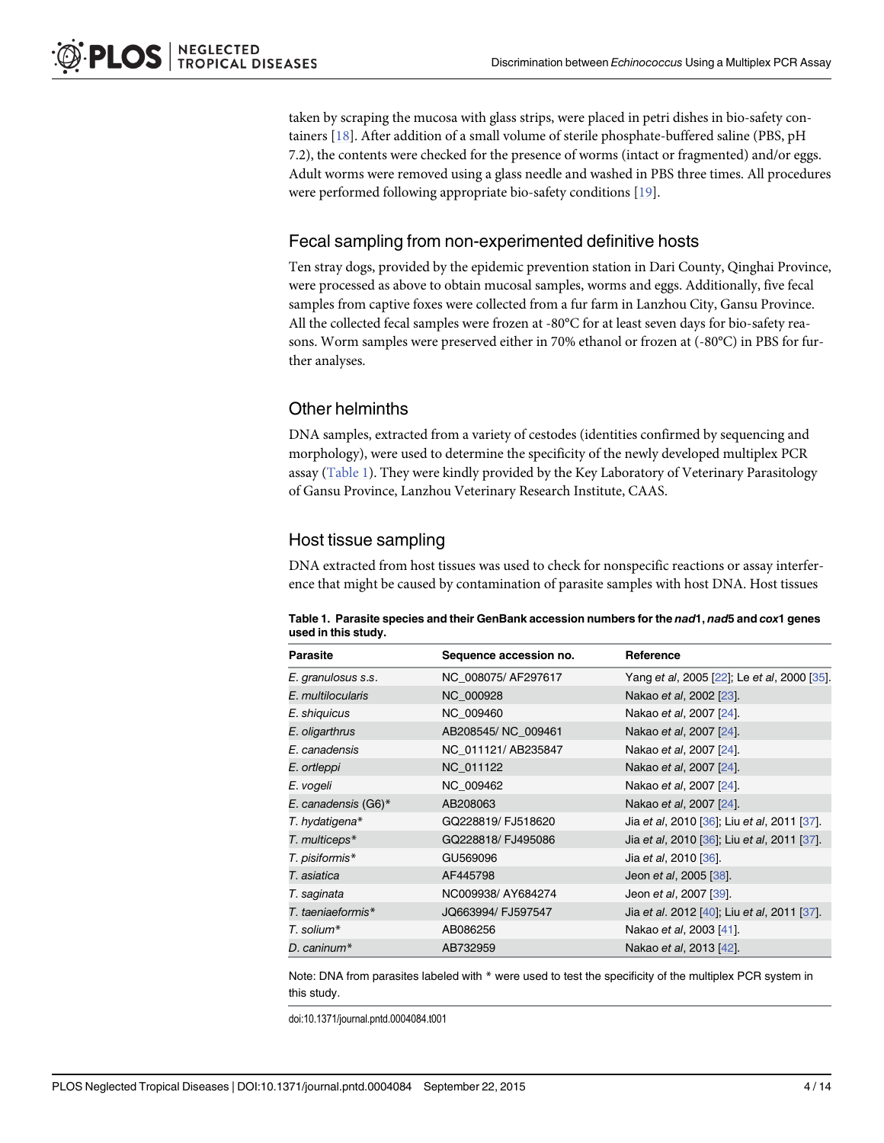<span id="page-3-0"></span>taken by scraping the mucosa with glass strips, were placed in petri dishes in bio-safety containers [[18](#page-11-0)]. After addition of a small volume of sterile phosphate-buffered saline (PBS, pH 7.2), the contents were checked for the presence of worms (intact or fragmented) and/or eggs. Adult worms were removed using a glass needle and washed in PBS three times. All procedures were performed following appropriate bio-safety conditions [\[19\]](#page-11-0).

## Fecal sampling from non-experimented definitive hosts

Ten stray dogs, provided by the epidemic prevention station in Dari County, Qinghai Province, were processed as above to obtain mucosal samples, worms and eggs. Additionally, five fecal samples from captive foxes were collected from a fur farm in Lanzhou City, Gansu Province. All the collected fecal samples were frozen at -80°C for at least seven days for bio-safety reasons. Worm samples were preserved either in 70% ethanol or frozen at (-80°C) in PBS for further analyses.

## Other helminths

DNA samples, extracted from a variety of cestodes (identities confirmed by sequencing and morphology), were used to determine the specificity of the newly developed multiplex PCR assay (Table 1). They were kindly provided by the Key Laboratory of Veterinary Parasitology of Gansu Province, Lanzhou Veterinary Research Institute, CAAS.

## Host tissue sampling

DNA extracted from host tissues was used to check for nonspecific reactions or assay interference that might be caused by contamination of parasite samples with host DNA. Host tissues

Table 1. Parasite species and their GenBank accession numbers for the nad1, nad5 and cox1 genes used in this study.

| Parasite            | Sequence accession no. | Reference                                   |
|---------------------|------------------------|---------------------------------------------|
| E. granulosus s.s.  | NC 008075/ AF297617    | Yang et al, 2005 [22]; Le et al, 2000 [35]. |
| E. multilocularis   | NC 000928              | Nakao et al, 2002 [23].                     |
| E. shiquicus        | NC 009460              | Nakao et al, 2007 [24].                     |
| E. oligarthrus      | AB208545/NC_009461     | Nakao et al, 2007 [24].                     |
| E. canadensis       | NC_011121/AB235847     | Nakao et al, 2007 [24].                     |
| E. ortleppi         | NC 011122              | Nakao et al, 2007 [24].                     |
| E. vogeli           | NC 009462              | Nakao et al, 2007 [24].                     |
| E. canadensis (G6)* | AB208063               | Nakao et al, 2007 [24].                     |
| T. hydatigena*      | GQ228819/ FJ518620     | Jia et al, 2010 [36]; Liu et al, 2011 [37]. |
| T. multiceps*       | GQ228818/ FJ495086     | Jia et al, 2010 [36]; Liu et al, 2011 [37]. |
| T. pisiformis*      | GU569096               | Jia et al, 2010 [36].                       |
| T. asiatica         | AF445798               | Jeon et al, 2005 [38].                      |
| T. saginata         | NC009938/AY684274      | Jeon et al, 2007 [39].                      |
| T. taeniaeformis*   | JQ663994/ FJ597547     | Jia et al. 2012 [40]; Liu et al, 2011 [37]. |
| T. solium*          | AB086256               | Nakao et al, 2003 [41].                     |
| D. caninum*         | AB732959               | Nakao et al, 2013 [42].                     |

Note: DNA from parasites labeled with  $*$  were used to test the specificity of the multiplex PCR system in this study.

doi:10.1371/journal.pntd.0004084.t001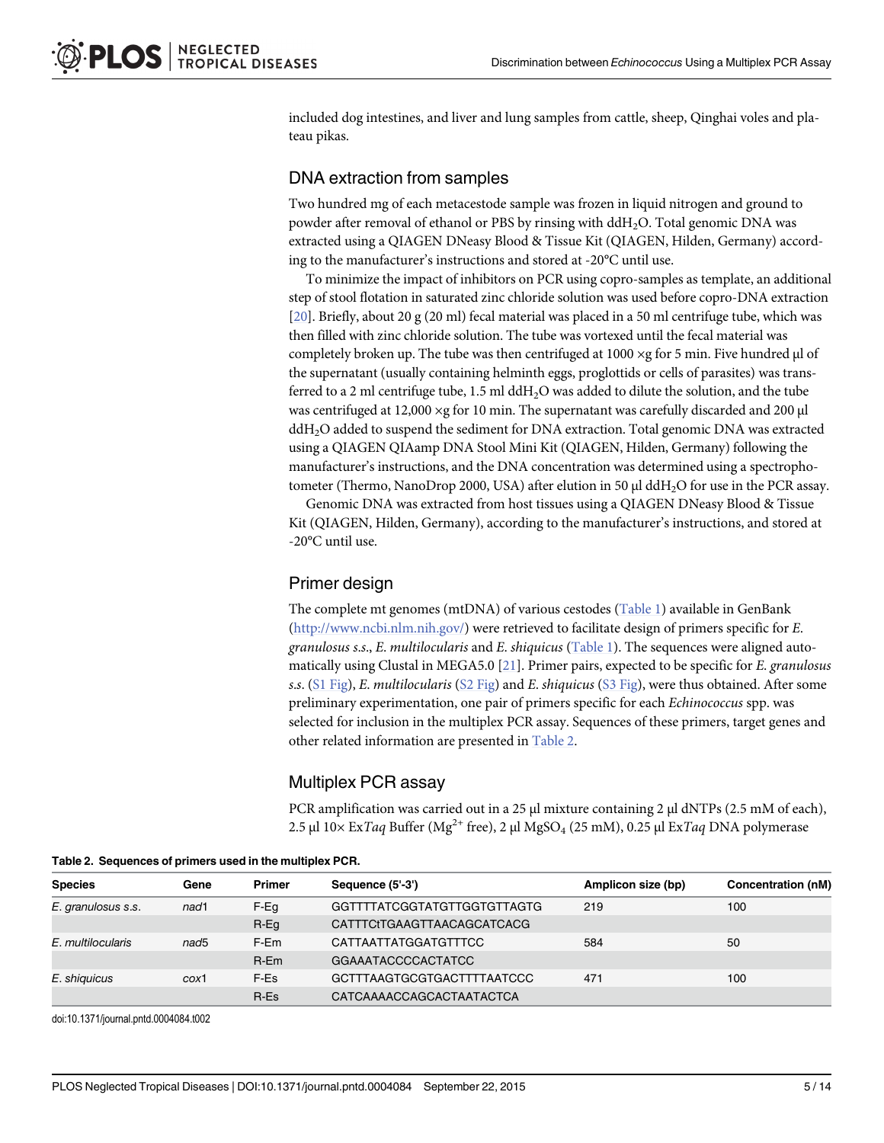<span id="page-4-0"></span>included dog intestines, and liver and lung samples from cattle, sheep, Qinghai voles and plateau pikas.

## DNA extraction from samples

Two hundred mg of each metacestode sample was frozen in liquid nitrogen and ground to powder after removal of ethanol or PBS by rinsing with ddH2O. Total genomic DNA was extracted using a QIAGEN DNeasy Blood & Tissue Kit (QIAGEN, Hilden, Germany) according to the manufacturer's instructions and stored at -20°C until use.

To minimize the impact of inhibitors on PCR using copro-samples as template, an additional step of stool flotation in saturated zinc chloride solution was used before copro-DNA extraction [\[20\]](#page-11-0). Briefly, about 20 g (20 ml) fecal material was placed in a 50 ml centrifuge tube, which was then filled with zinc chloride solution. The tube was vortexed until the fecal material was completely broken up. The tube was then centrifuged at  $1000 \times g$  for 5 min. Five hundred µl of the supernatant (usually containing helminth eggs, proglottids or cells of parasites) was transferred to a 2 ml centrifuge tube, 1.5 ml ddH<sub>2</sub>O was added to dilute the solution, and the tube was centrifuged at 12,000 ×g for 10 min. The supernatant was carefully discarded and 200 μl ddH<sub>2</sub>O added to suspend the sediment for DNA extraction. Total genomic DNA was extracted using a QIAGEN QIAamp DNA Stool Mini Kit (QIAGEN, Hilden, Germany) following the manufacturer's instructions, and the DNA concentration was determined using a spectrophotometer (Thermo, NanoDrop 2000, USA) after elution in 50 μl ddH<sub>2</sub>O for use in the PCR assay.

Genomic DNA was extracted from host tissues using a QIAGEN DNeasy Blood & Tissue Kit (QIAGEN, Hilden, Germany), according to the manufacturer's instructions, and stored at -20°C until use.

## Primer design

The complete mt genomes (mtDNA) of various cestodes [\(Table 1](#page-3-0)) available in GenBank [\(http://www.ncbi.nlm.nih.gov/\)](http://www.ncbi.nlm.nih.gov/) were retrieved to facilitate design of primers specific for E. granulosus s.s., E. multilocularis and E. shiquicus ([Table 1\)](#page-3-0). The sequences were aligned automatically using Clustal in MEGA5.0  $[21]$ . Primer pairs, expected to be specific for *E. granulosus* s.s.  $(S1 \text{ Fig})$ , E. multilocularis  $(S2 \text{ Fig})$  and E. shiquicus  $(S3 \text{ Fig})$ , were thus obtained. After some preliminary experimentation, one pair of primers specific for each Echinococcus spp. was selected for inclusion in the multiplex PCR assay. Sequences of these primers, target genes and other related information are presented in Table 2.

## Multiplex PCR assay

PCR amplification was carried out in a 25 μl mixture containing 2 μl dNTPs (2.5 mM of each), 2.5 μl  $10\times$  Ex*Taq* Buffer (Mg<sup>2+</sup> free), 2 μl MgSO<sub>4</sub> (25 mM), 0.25 μl Ex*Taq* DNA polymerase

| <b>Species</b>     | Gene             | <b>Primer</b> | Sequence (5'-3')            | Amplicon size (bp) | Concentration (nM) |
|--------------------|------------------|---------------|-----------------------------|--------------------|--------------------|
| E. granulosus s.s. | nad1             | F-Eq          | GGTTTTATCGGTATGTTGGTGTTAGTG | 219                | 100                |
|                    |                  | $R-Eg$        | CATTTCtTGAAGTTAACAGCATCACG  |                    |                    |
| E. multilocularis  | nad <sub>5</sub> | F-Em          | CATTAATTATGGATGTTTCC        | 584                | 50                 |
|                    |                  | $R$ -Em       | <b>GGAAATACCCCACTATCC</b>   |                    |                    |
| E. shiguicus       | cox1             | F-Es          | GCTTTAAGTGCGTGACTTTTAATCCC  | 471                | 100                |
|                    |                  | R-Es          | CATCAAAACCAGCACTAATACTCA    |                    |                    |

Table 2. Sequences of primers used in the multiplex PCR.

doi:10.1371/journal.pntd.0004084.t002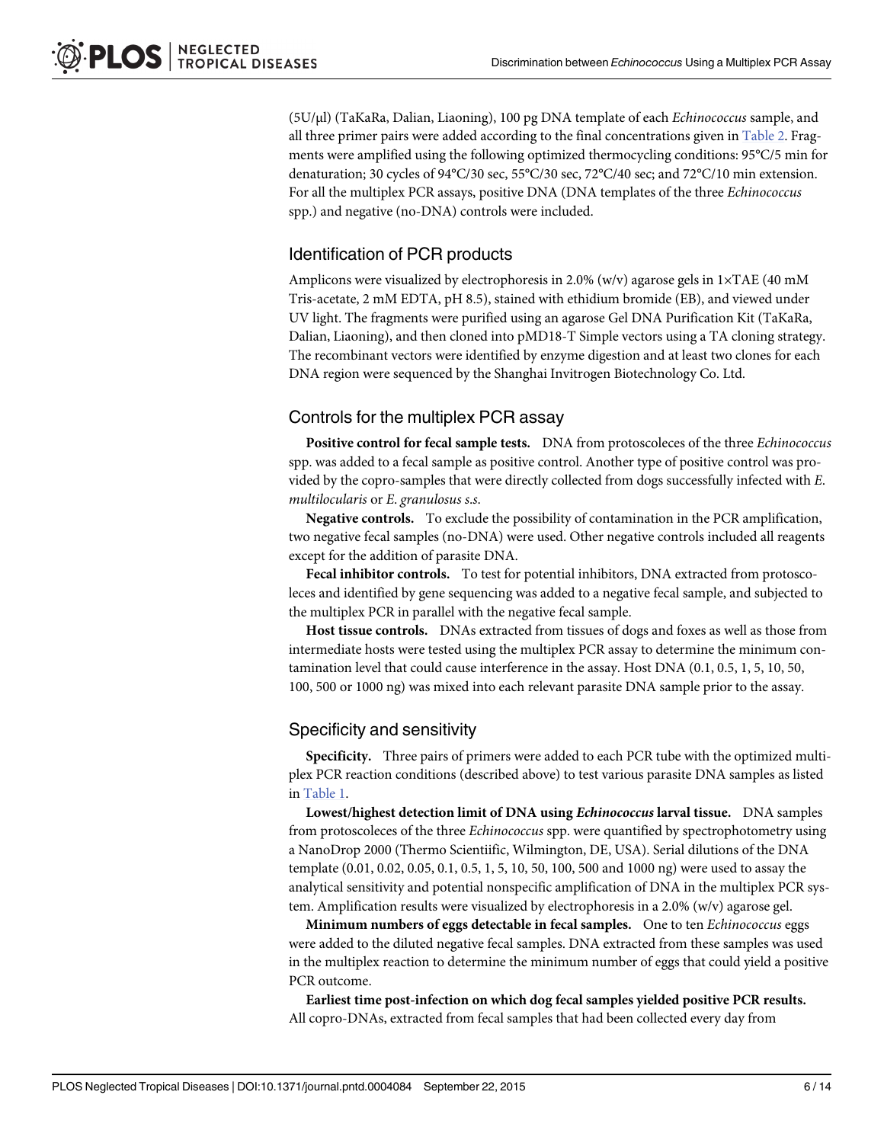(5U/μl) (TaKaRa, Dalian, Liaoning), 100 pg DNA template of each Echinococcus sample, and all three primer pairs were added according to the final concentrations given in [Table 2.](#page-4-0) Fragments were amplified using the following optimized thermocycling conditions: 95°C/5 min for denaturation; 30 cycles of 94°C/30 sec, 55°C/30 sec, 72°C/40 sec; and 72°C/10 min extension. For all the multiplex PCR assays, positive DNA (DNA templates of the three Echinococcus spp.) and negative (no-DNA) controls were included.

## Identification of PCR products

Amplicons were visualized by electrophoresis in 2.0% (w/v) agarose gels in  $1 \times TAE$  (40 mM Tris-acetate, 2 mM EDTA, pH 8.5), stained with ethidium bromide (EB), and viewed under UV light. The fragments were purified using an agarose Gel DNA Purification Kit (TaKaRa, Dalian, Liaoning), and then cloned into pMD18-T Simple vectors using a TA cloning strategy. The recombinant vectors were identified by enzyme digestion and at least two clones for each DNA region were sequenced by the Shanghai Invitrogen Biotechnology Co. Ltd.

## Controls for the multiplex PCR assay

Positive control for fecal sample tests. DNA from protoscoleces of the three Echinococcus spp. was added to a fecal sample as positive control. Another type of positive control was provided by the copro-samples that were directly collected from dogs successfully infected with E. multilocularis or E. granulosus s.s.

Negative controls. To exclude the possibility of contamination in the PCR amplification, two negative fecal samples (no-DNA) were used. Other negative controls included all reagents except for the addition of parasite DNA.

Fecal inhibitor controls. To test for potential inhibitors, DNA extracted from protoscoleces and identified by gene sequencing was added to a negative fecal sample, and subjected to the multiplex PCR in parallel with the negative fecal sample.

Host tissue controls. DNAs extracted from tissues of dogs and foxes as well as those from intermediate hosts were tested using the multiplex PCR assay to determine the minimum contamination level that could cause interference in the assay. Host DNA (0.1, 0.5, 1, 5, 10, 50, 100, 500 or 1000 ng) was mixed into each relevant parasite DNA sample prior to the assay.

## Specificity and sensitivity

Specificity. Three pairs of primers were added to each PCR tube with the optimized multiplex PCR reaction conditions (described above) to test various parasite DNA samples as listed in [Table 1](#page-3-0).

Lowest/highest detection limit of DNA using Echinococcus larval tissue. DNA samples from protoscoleces of the three Echinococcus spp. were quantified by spectrophotometry using a NanoDrop 2000 (Thermo Scientiific, Wilmington, DE, USA). Serial dilutions of the DNA template (0.01, 0.02, 0.05, 0.1, 0.5, 1, 5, 10, 50, 100, 500 and 1000 ng) were used to assay the analytical sensitivity and potential nonspecific amplification of DNA in the multiplex PCR system. Amplification results were visualized by electrophoresis in a 2.0% (w/v) agarose gel.

Minimum numbers of eggs detectable in fecal samples. One to ten *Echinococcus* eggs were added to the diluted negative fecal samples. DNA extracted from these samples was used in the multiplex reaction to determine the minimum number of eggs that could yield a positive PCR outcome.

Earliest time post-infection on which dog fecal samples yielded positive PCR results. All copro-DNAs, extracted from fecal samples that had been collected every day from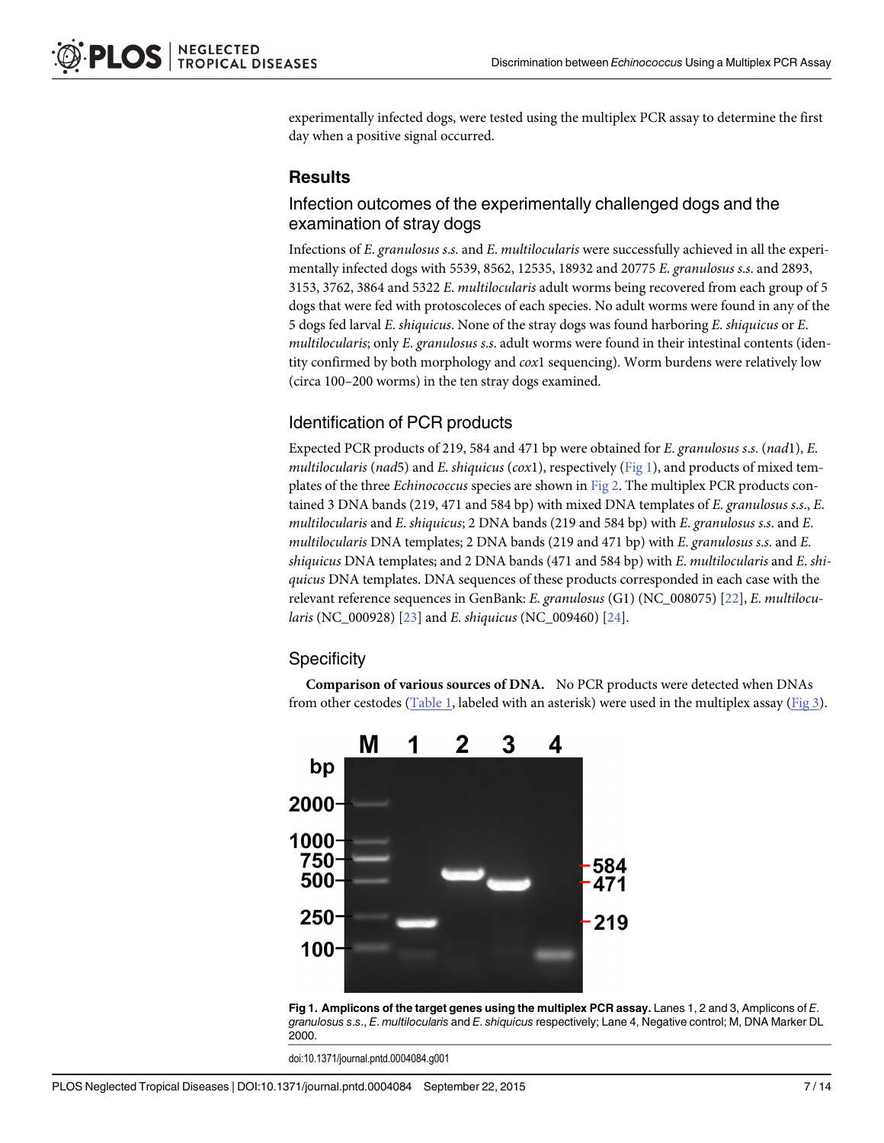<span id="page-6-0"></span>experimentally infected dogs, were tested using the multiplex PCR assay to determine the first day when a positive signal occurred.

## **Results**

## Infection outcomes of the experimentally challenged dogs and the examination of stray dogs

Infections of E. granulosus s.s. and E. multilocularis were successfully achieved in all the experimentally infected dogs with 5539, 8562, 12535, 18932 and 20775 E. granulosus s.s. and 2893, 3153, 3762, 3864 and 5322 E. multilocularis adult worms being recovered from each group of 5 dogs that were fed with protoscoleces of each species. No adult worms were found in any of the 5 dogs fed larval E. shiquicus. None of the stray dogs was found harboring E. shiquicus or E. multilocularis; only E. granulosus s.s. adult worms were found in their intestinal contents (identity confirmed by both morphology and  $\cos 1$  sequencing). Worm burdens were relatively low (circa 100–200 worms) in the ten stray dogs examined.

## Identification of PCR products

Expected PCR products of 219, 584 and 471 bp were obtained for E. granulosus s.s. (nad1), E. multilocularis (nad5) and E. shiquicus (cox1), respectively ( $Fig 1$ ), and products of mixed templates of the three Echinococcus species are shown in [Fig 2.](#page-7-0) The multiplex PCR products contained 3 DNA bands (219, 471 and 584 bp) with mixed DNA templates of E. granulosus s.s., E. multilocularis and E. shiquicus; 2 DNA bands (219 and 584 bp) with E. granulosus s.s. and E. multilocularis DNA templates; 2 DNA bands (219 and 471 bp) with E. granulosus s.s. and E. shiquicus DNA templates; and 2 DNA bands (471 and 584 bp) with  $E$ . multilocularis and  $E$ . shiquicus DNA templates. DNA sequences of these products corresponded in each case with the relevant reference sequences in GenBank: E. granulosus (G1) (NC\_008075) [\[22\]](#page-12-0), E. multilocularis (NC\_000928) [\[23](#page-12-0)] and E. shiquicus (NC\_009460) [[24](#page-12-0)].

## **Specificity**

Comparison of various sources of DNA. No PCR products were detected when DNAs from other cestodes ( $Table 1$ , labeled with an asterisk) were used in the multiplex assay ( $Fig 3$ ).



Fig 1. Amplicons of the target genes using the multiplex PCR assay. Lanes 1, 2 and 3, Amplicons of E. granulosus s.s., E. multilocularis and E. shiquicus respectively; Lane 4, Negative control; M, DNA Marker DL 2000.

doi:10.1371/journal.pntd.0004084.g001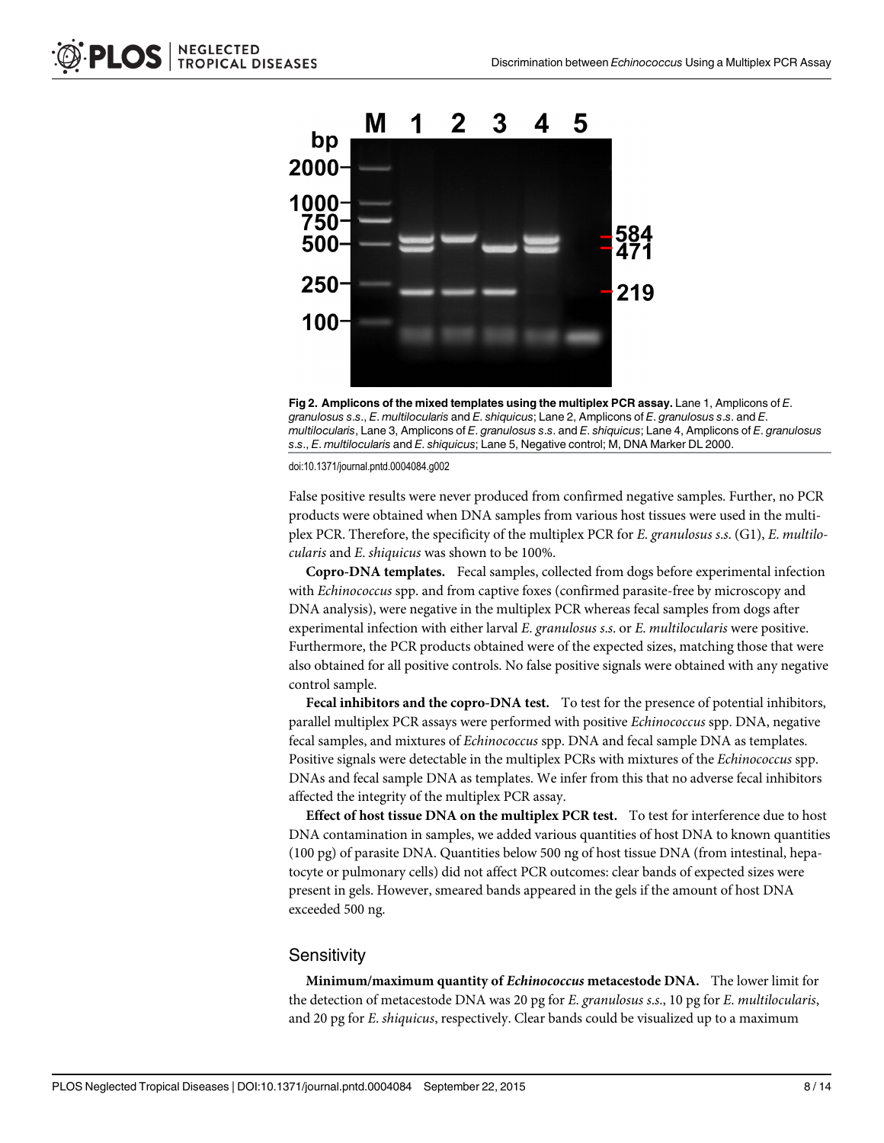<span id="page-7-0"></span>



doi:10.1371/journal.pntd.0004084.g002

False positive results were never produced from confirmed negative samples. Further, no PCR products were obtained when DNA samples from various host tissues were used in the multiplex PCR. Therefore, the specificity of the multiplex PCR for E. granulosus s.s. (G1), E. multilocularis and E. shiquicus was shown to be 100%.

Copro-DNA templates. Fecal samples, collected from dogs before experimental infection with *Echinococcus* spp. and from captive foxes (confirmed parasite-free by microscopy and DNA analysis), were negative in the multiplex PCR whereas fecal samples from dogs after experimental infection with either larval E. granulosus s.s. or E. multilocularis were positive. Furthermore, the PCR products obtained were of the expected sizes, matching those that were also obtained for all positive controls. No false positive signals were obtained with any negative control sample.

Fecal inhibitors and the copro-DNA test. To test for the presence of potential inhibitors, parallel multiplex PCR assays were performed with positive Echinococcus spp. DNA, negative fecal samples, and mixtures of Echinococcus spp. DNA and fecal sample DNA as templates. Positive signals were detectable in the multiplex PCRs with mixtures of the Echinococcus spp. DNAs and fecal sample DNA as templates. We infer from this that no adverse fecal inhibitors affected the integrity of the multiplex PCR assay.

Effect of host tissue DNA on the multiplex PCR test. To test for interference due to host DNA contamination in samples, we added various quantities of host DNA to known quantities (100 pg) of parasite DNA. Quantities below 500 ng of host tissue DNA (from intestinal, hepatocyte or pulmonary cells) did not affect PCR outcomes: clear bands of expected sizes were present in gels. However, smeared bands appeared in the gels if the amount of host DNA exceeded 500 ng.

#### **Sensitivity**

Minimum/maximum quantity of Echinococcus metacestode DNA. The lower limit for the detection of metacestode DNA was 20 pg for E. granulosus s.s., 10 pg for E. multilocularis, and 20 pg for E. shiquicus, respectively. Clear bands could be visualized up to a maximum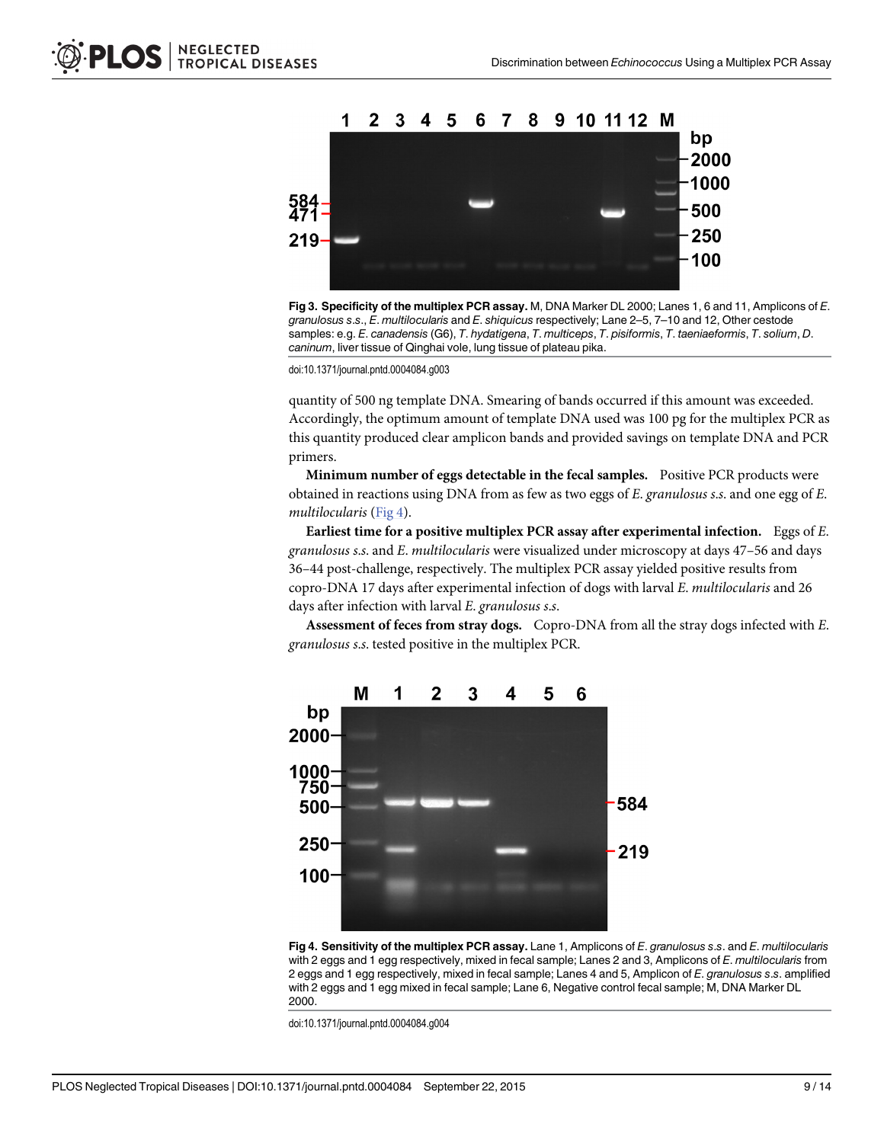<span id="page-8-0"></span>

[Fig 3. S](#page-6-0)pecificity of the multiplex PCR assay. M, DNA Marker DL 2000; Lanes 1, 6 and 11, Amplicons of E. granulosus s.s., E. multilocularis and E. shiquicus respectively; Lane 2–5, 7–10 and 12, Other cestode samples: e.g. E. canadensis (G6), T. hydatigena, T. multiceps, T. pisiformis, T. taeniaeformis, T. solium, D. caninum, liver tissue of Qinghai vole, lung tissue of plateau pika.

doi:10.1371/journal.pntd.0004084.g003

quantity of 500 ng template DNA. Smearing of bands occurred if this amount was exceeded. Accordingly, the optimum amount of template DNA used was 100 pg for the multiplex PCR as this quantity produced clear amplicon bands and provided savings on template DNA and PCR primers.

Minimum number of eggs detectable in the fecal samples. Positive PCR products were obtained in reactions using DNA from as few as two eggs of E. granulosus s.s. and one egg of E. multilocularis (Fig 4).

Earliest time for a positive multiplex PCR assay after experimental infection. Eggs of E. granulosus s.s. and E. multilocularis were visualized under microscopy at days 47–56 and days 36–44 post-challenge, respectively. The multiplex PCR assay yielded positive results from copro-DNA 17 days after experimental infection of dogs with larval E. multilocularis and 26 days after infection with larval E. granulosus s.s.

Assessment of feces from stray dogs. Copro-DNA from all the stray dogs infected with E. granulosus s.s. tested positive in the multiplex PCR.



Fig 4. Sensitivity of the multiplex PCR assay. Lane 1, Amplicons of E. granulosus s.s. and E. multilocularis with 2 eggs and 1 egg respectively, mixed in fecal sample; Lanes 2 and 3, Amplicons of E. multilocularis from 2 eggs and 1 egg respectively, mixed in fecal sample; Lanes 4 and 5, Amplicon of E. granulosus s.s. amplified with 2 eggs and 1 egg mixed in fecal sample; Lane 6, Negative control fecal sample; M, DNA Marker DL 2000.

doi:10.1371/journal.pntd.0004084.g004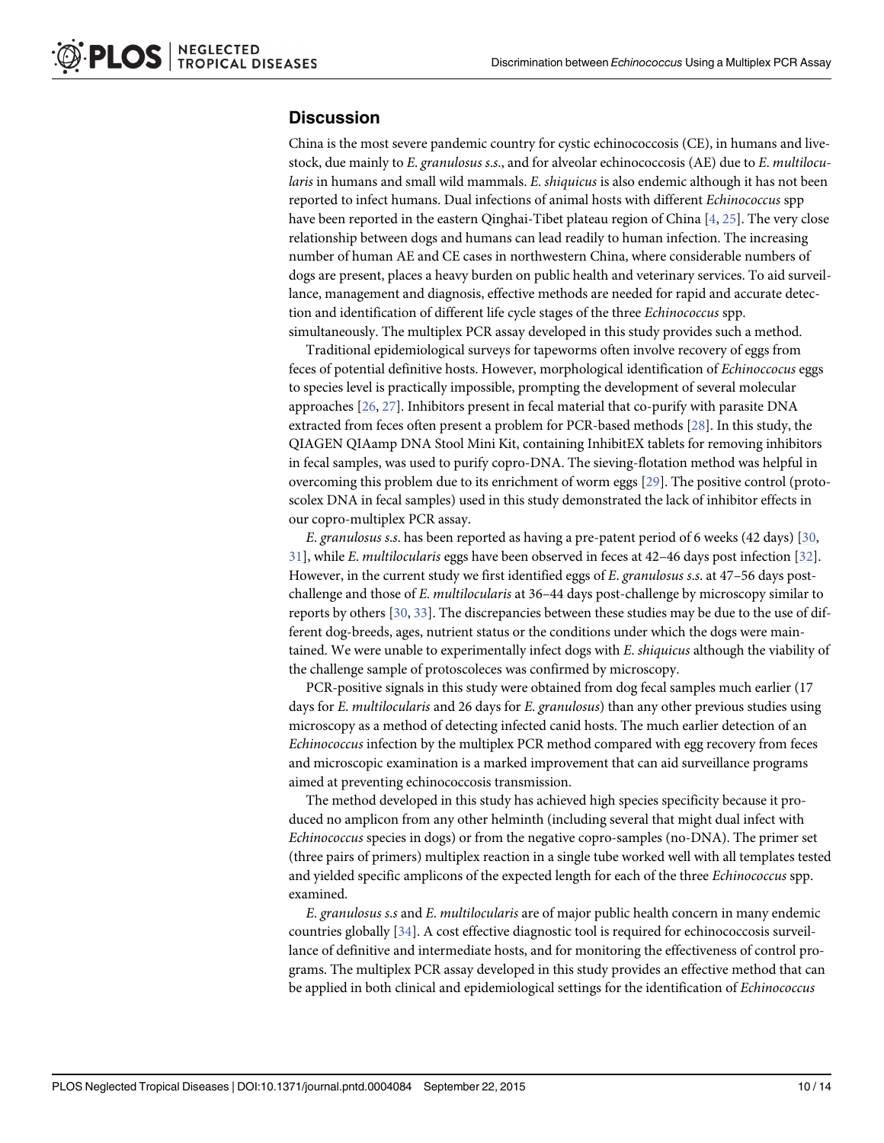## <span id="page-9-0"></span>**Discussion**

China is the most severe pandemic country for cystic echinococcosis (CE), in humans and livestock, due mainly to E. granulosus s.s., and for alveolar echinococcosis (AE) due to E. multilocularis in humans and small wild mammals. E. shiquicus is also endemic although it has not been reported to infect humans. Dual infections of animal hosts with different Echinococcus spp have been reported in the eastern Qinghai-Tibet plateau region of China [\[4](#page-11-0), [25](#page-12-0)]. The very close relationship between dogs and humans can lead readily to human infection. The increasing number of human AE and CE cases in northwestern China, where considerable numbers of dogs are present, places a heavy burden on public health and veterinary services. To aid surveillance, management and diagnosis, effective methods are needed for rapid and accurate detection and identification of different life cycle stages of the three Echinococcus spp. simultaneously. The multiplex PCR assay developed in this study provides such a method.

Traditional epidemiological surveys for tapeworms often involve recovery of eggs from feces of potential definitive hosts. However, morphological identification of Echinoccocus eggs to species level is practically impossible, prompting the development of several molecular approaches [[26](#page-12-0), [27](#page-12-0)]. Inhibitors present in fecal material that co-purify with parasite DNA extracted from feces often present a problem for PCR-based methods [\[28\]](#page-12-0). In this study, the QIAGEN QIAamp DNA Stool Mini Kit, containing InhibitEX tablets for removing inhibitors in fecal samples, was used to purify copro-DNA. The sieving-flotation method was helpful in overcoming this problem due to its enrichment of worm eggs [[29](#page-12-0)]. The positive control (protoscolex DNA in fecal samples) used in this study demonstrated the lack of inhibitor effects in our copro-multiplex PCR assay.

E. granulosus s.s. has been reported as having a pre-patent period of 6 weeks (42 days) [[30](#page-12-0), [31\]](#page-12-0), while E. multilocularis eggs have been observed in feces at 42–46 days post infection [[32](#page-12-0)]. However, in the current study we first identified eggs of E. granulosus s.s. at 47-56 days postchallenge and those of E. multilocularis at 36-44 days post-challenge by microscopy similar to reports by others [[30](#page-12-0), [33](#page-12-0)]. The discrepancies between these studies may be due to the use of different dog-breeds, ages, nutrient status or the conditions under which the dogs were maintained. We were unable to experimentally infect dogs with E. shiquicus although the viability of the challenge sample of protoscoleces was confirmed by microscopy.

PCR-positive signals in this study were obtained from dog fecal samples much earlier (17 days for E. multilocularis and 26 days for E. granulosus) than any other previous studies using microscopy as a method of detecting infected canid hosts. The much earlier detection of an Echinococcus infection by the multiplex PCR method compared with egg recovery from feces and microscopic examination is a marked improvement that can aid surveillance programs aimed at preventing echinococcosis transmission.

The method developed in this study has achieved high species specificity because it produced no amplicon from any other helminth (including several that might dual infect with Echinococcus species in dogs) or from the negative copro-samples (no-DNA). The primer set (three pairs of primers) multiplex reaction in a single tube worked well with all templates tested and yielded specific amplicons of the expected length for each of the three Echinococcus spp. examined.

E. granulosus s.s and E. multilocularis are of major public health concern in many endemic countries globally [[34](#page-12-0)]. A cost effective diagnostic tool is required for echinococcosis surveillance of definitive and intermediate hosts, and for monitoring the effectiveness of control programs. The multiplex PCR assay developed in this study provides an effective method that can be applied in both clinical and epidemiological settings for the identification of Echinococcus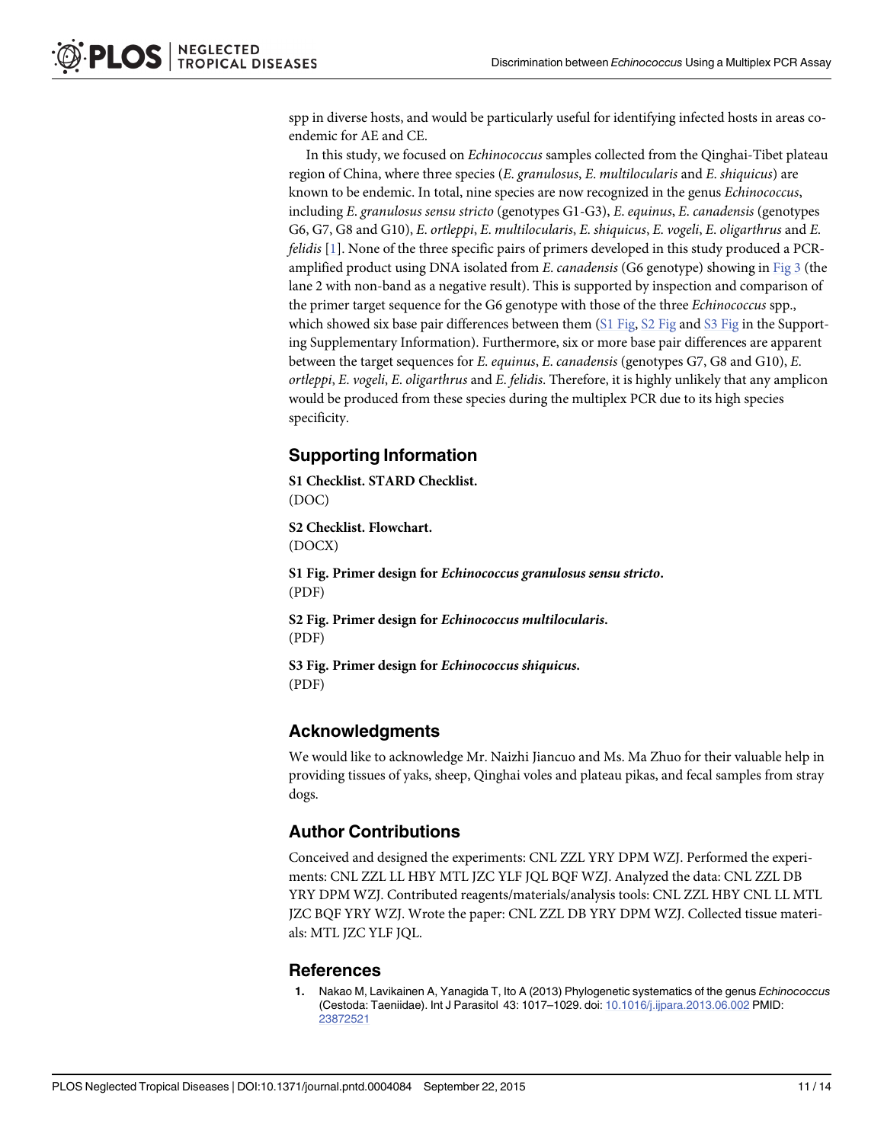<span id="page-10-0"></span>spp in diverse hosts, and would be particularly useful for identifying infected hosts in areas coendemic for AE and CE.

In this study, we focused on Echinococcus samples collected from the Qinghai-Tibet plateau region of China, where three species (E. granulosus, E. multilocularis and E. shiquicus) are known to be endemic. In total, nine species are now recognized in the genus Echinococcus, including E. granulosus sensu stricto (genotypes G1-G3), E. equinus, E. canadensis (genotypes G6, G7, G8 and G10), E. ortleppi, E. multilocularis, E. shiquicus, E. vogeli, E. oligarthrus and E. felidis [1]. None of the three specific pairs of primers developed in this study produced a PCRamplified product using DNA isolated from E. canadensis (G6 genotype) showing in [Fig 3](#page-8-0) (the lane 2 with non-band as a negative result). This is supported by inspection and comparison of the primer target sequence for the G6 genotype with those of the three Echinococcus spp., which showed six base pair differences between them  $(S1 \text{ Fig}, S2 \text{ Fig} \text{ and } S3 \text{ Fig} \text{ in the Support-}$ ing Supplementary Information). Furthermore, six or more base pair differences are apparent between the target sequences for *E. equinus, E. canadensis* (genotypes G7, G8 and G10), *E.* ortleppi, E. vogeli, E. oligarthrus and E. felidis. Therefore, it is highly unlikely that any amplicon would be produced from these species during the multiplex PCR due to its high species specificity.

## Supporting Information

[S1 Checklist.](http://www.plosone.org/article/fetchSingleRepresentation.action?uri=info:doi/10.1371/journal.pntd.0004084.s001) STARD Checklist. (DOC)

[S2 Checklist.](http://www.plosone.org/article/fetchSingleRepresentation.action?uri=info:doi/10.1371/journal.pntd.0004084.s002) Flowchart. (DOCX)

[S1 Fig.](http://www.plosone.org/article/fetchSingleRepresentation.action?uri=info:doi/10.1371/journal.pntd.0004084.s003) Primer design for Echinococcus granulosus sensu stricto. (PDF)

[S2 Fig.](http://www.plosone.org/article/fetchSingleRepresentation.action?uri=info:doi/10.1371/journal.pntd.0004084.s004) Primer design for Echinococcus multilocularis. (PDF)

[S3 Fig.](http://www.plosone.org/article/fetchSingleRepresentation.action?uri=info:doi/10.1371/journal.pntd.0004084.s005) Primer design for Echinococcus shiquicus. (PDF)

## Acknowledgments

We would like to acknowledge Mr. Naizhi Jiancuo and Ms. Ma Zhuo for their valuable help in providing tissues of yaks, sheep, Qinghai voles and plateau pikas, and fecal samples from stray dogs.

## Author Contributions

Conceived and designed the experiments: CNL ZZL YRY DPM WZJ. Performed the experiments: CNL ZZL LL HBY MTL JZC YLF JQL BQF WZJ. Analyzed the data: CNL ZZL DB YRY DPM WZJ. Contributed reagents/materials/analysis tools: CNL ZZL HBY CNL LL MTL JZC BQF YRY WZJ. Wrote the paper: CNL ZZL DB YRY DPM WZJ. Collected tissue materials: MTL JZC YLF JQL.

#### References

[1.](#page-1-0) Nakao M, Lavikainen A, Yanagida T, Ito A (2013) Phylogenetic systematics of the genus Echinococcus (Cestoda: Taeniidae). Int J Parasitol 43: 1017–1029. doi: [10.1016/j.ijpara.2013.06.002](http://dx.doi.org/10.1016/j.ijpara.2013.06.002) PMID: [23872521](http://www.ncbi.nlm.nih.gov/pubmed/23872521)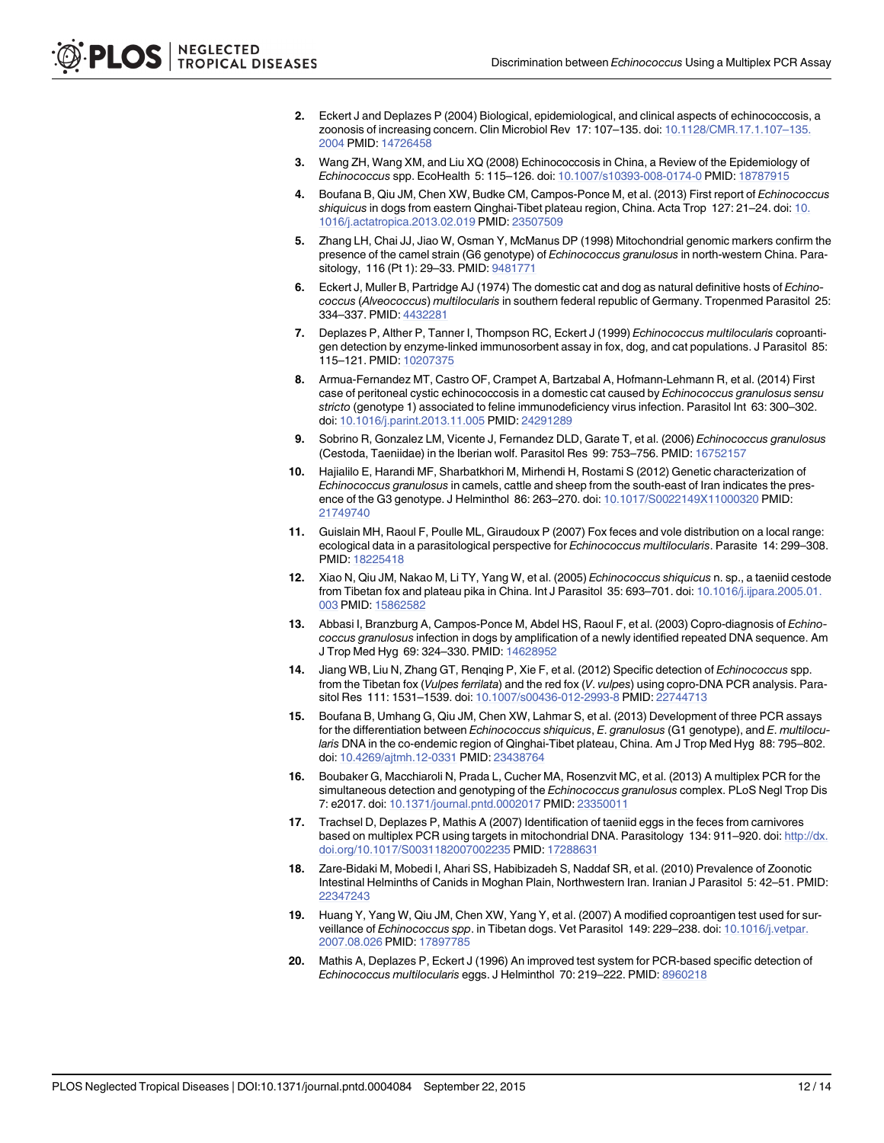- <span id="page-11-0"></span>[2.](#page-1-0) Eckert J and Deplazes P (2004) Biological, epidemiological, and clinical aspects of echinococcosis, a zoonosis of increasing concern. Clin Microbiol Rev 17: 107–135. doi: [10.1128/CMR.17.1.107](http://dx.doi.org/10.1128/CMR.17.1.107–135.2004)–135. [2004](http://dx.doi.org/10.1128/CMR.17.1.107–135.2004) PMID: [14726458](http://www.ncbi.nlm.nih.gov/pubmed/14726458)
- [3.](#page-1-0) Wang ZH, Wang XM, and Liu XQ (2008) Echinococcosis in China, a Review of the Epidemiology of Echinococcus spp. EcoHealth 5: 115–126. doi: [10.1007/s10393-008-0174-0](http://dx.doi.org/10.1007/s10393-008-0174-0) PMID: [18787915](http://www.ncbi.nlm.nih.gov/pubmed/18787915)
- [4.](#page-9-0) Boufana B, Qiu JM, Chen XW, Budke CM, Campos-Ponce M, et al. (2013) First report of Echinococcus shiquicus in dogs from eastern Qinghai-Tibet plateau region, China. Acta Trop 127: 21–24. doi: [10.](http://dx.doi.org/10.1016/j.actatropica.2013.02.019) [1016/j.actatropica.2013.02.019](http://dx.doi.org/10.1016/j.actatropica.2013.02.019) PMID: [23507509](http://www.ncbi.nlm.nih.gov/pubmed/23507509)
- [5.](#page-1-0) Zhang LH, Chai JJ, Jiao W, Osman Y, McManus DP (1998) Mitochondrial genomic markers confirm the presence of the camel strain (G6 genotype) of Echinococcus granulosus in north-western China. Para-sitology, 116 (Pt 1): 29-33. PMID: [9481771](http://www.ncbi.nlm.nih.gov/pubmed/9481771)
- [6.](#page-1-0) Eckert J, Muller B, Partridge AJ (1974) The domestic cat and dog as natural definitive hosts of Echinococcus (Alveococcus) multilocularis in southern federal republic of Germany. Tropenmed Parasitol 25: 334–337. PMID: [4432281](http://www.ncbi.nlm.nih.gov/pubmed/4432281)
- 7. Deplazes P, Alther P, Tanner I, Thompson RC, Eckert J (1999) Echinococcus multilocularis coproantigen detection by enzyme-linked immunosorbent assay in fox, dog, and cat populations. J Parasitol 85: 115–121. PMID: [10207375](http://www.ncbi.nlm.nih.gov/pubmed/10207375)
- 8. Armua-Fernandez MT, Castro OF, Crampet A, Bartzabal A, Hofmann-Lehmann R, et al. (2014) First case of peritoneal cystic echinococcosis in a domestic cat caused by Echinococcus granulosus sensu stricto (genotype 1) associated to feline immunodeficiency virus infection. Parasitol Int 63: 300–302. doi: [10.1016/j.parint.2013.11.005](http://dx.doi.org/10.1016/j.parint.2013.11.005) PMID: [24291289](http://www.ncbi.nlm.nih.gov/pubmed/24291289)
- [9.](#page-1-0) Sobrino R, Gonzalez LM, Vicente J, Fernandez DLD, Garate T, et al. (2006) Echinococcus granulosus (Cestoda, Taeniidae) in the Iberian wolf. Parasitol Res 99: 753–756. PMID: [16752157](http://www.ncbi.nlm.nih.gov/pubmed/16752157)
- [10.](#page-1-0) Hajialilo E, Harandi MF, Sharbatkhori M, Mirhendi H, Rostami S (2012) Genetic characterization of Echinococcus granulosus in camels, cattle and sheep from the south-east of Iran indicates the presence of the G3 genotype. J Helminthol 86: 263–270. doi: [10.1017/S0022149X11000320](http://dx.doi.org/10.1017/S0022149X11000320) PMID: [21749740](http://www.ncbi.nlm.nih.gov/pubmed/21749740)
- [11.](#page-1-0) Guislain MH, Raoul F, Poulle ML, Giraudoux P (2007) Fox feces and vole distribution on a local range: ecological data in a parasitological perspective for Echinococcus multilocularis. Parasite 14: 299–308. PMID: [18225418](http://www.ncbi.nlm.nih.gov/pubmed/18225418)
- [12.](#page-1-0) Xiao N, Qiu JM, Nakao M, Li TY, Yang W, et al. (2005) Echinococcus shiquicus n. sp., a taeniid cestode from Tibetan fox and plateau pika in China. Int J Parasitol 35: 693–701. doi: [10.1016/j.ijpara.2005.01.](http://dx.doi.org/10.1016/j.ijpara.2005.01.003) [003](http://dx.doi.org/10.1016/j.ijpara.2005.01.003) PMID: [15862582](http://www.ncbi.nlm.nih.gov/pubmed/15862582)
- [13.](#page-1-0) Abbasi I, Branzburg A, Campos-Ponce M, Abdel HS, Raoul F, et al. (2003) Copro-diagnosis of Echinococcus granulosus infection in dogs by amplification of a newly identified repeated DNA sequence. Am J Trop Med Hyg 69: 324–330. PMID: [14628952](http://www.ncbi.nlm.nih.gov/pubmed/14628952)
- 14. Jiang WB, Liu N, Zhang GT, Renqing P, Xie F, et al. (2012) Specific detection of Echinococcus spp. from the Tibetan fox (Vulpes ferrilata) and the red fox (V. vulpes) using copro-DNA PCR analysis. Parasitol Res 111: 1531–1539. doi: [10.1007/s00436-012-2993-8](http://dx.doi.org/10.1007/s00436-012-2993-8) PMID: [22744713](http://www.ncbi.nlm.nih.gov/pubmed/22744713)
- [15.](#page-1-0) Boufana B, Umhang G, Qiu JM, Chen XW, Lahmar S, et al. (2013) Development of three PCR assays for the differentiation between Echinococcus shiquicus, E. granulosus (G1 genotype), and E. multilocularis DNA in the co-endemic region of Qinghai-Tibet plateau, China. Am J Trop Med Hyg 88: 795–802. doi: [10.4269/ajtmh.12-0331](http://dx.doi.org/10.4269/ajtmh.12-0331) PMID: [23438764](http://www.ncbi.nlm.nih.gov/pubmed/23438764)
- [16.](#page-2-0) Boubaker G, Macchiaroli N, Prada L, Cucher MA, Rosenzvit MC, et al. (2013) A multiplex PCR for the simultaneous detection and genotyping of the Echinococcus granulosus complex. PLoS Negl Trop Dis 7: e2017. doi: [10.1371/journal.pntd.0002017](http://dx.doi.org/10.1371/journal.pntd.0002017) PMID: [23350011](http://www.ncbi.nlm.nih.gov/pubmed/23350011)
- [17.](#page-2-0) Trachsel D, Deplazes P, Mathis A (2007) Identification of taeniid eggs in the feces from carnivores based on multiplex PCR using targets in mitochondrial DNA. Parasitology 134: 911-920. doi: [http://dx.](http://dx.doi.org/10.1017/S0031182007002235) [doi.org/10.1017/S0031182007002235](http://dx.doi.org/10.1017/S0031182007002235) PMID: [17288631](http://www.ncbi.nlm.nih.gov/pubmed/17288631)
- [18.](#page-3-0) Zare-Bidaki M, Mobedi I, Ahari SS, Habibizadeh S, Naddaf SR, et al. (2010) Prevalence of Zoonotic Intestinal Helminths of Canids in Moghan Plain, Northwestern Iran. Iranian J Parasitol 5: 42–51. PMID: [22347243](http://www.ncbi.nlm.nih.gov/pubmed/22347243)
- [19.](#page-3-0) Huang Y, Yang W, Qiu JM, Chen XW, Yang Y, et al. (2007) A modified coproantigen test used for sur-veillance of Echinococcus spp. in Tibetan dogs. Vet Parasitol 149: 229-238. doi: [10.1016/j.vetpar.](http://dx.doi.org/10.1016/j.vetpar.2007.08.026) [2007.08.026](http://dx.doi.org/10.1016/j.vetpar.2007.08.026) PMID: [17897785](http://www.ncbi.nlm.nih.gov/pubmed/17897785)
- [20.](#page-4-0) Mathis A, Deplazes P, Eckert J (1996) An improved test system for PCR-based specific detection of Echinococcus multilocularis eggs. J Helminthol 70: 219–222. PMID: [8960218](http://www.ncbi.nlm.nih.gov/pubmed/8960218)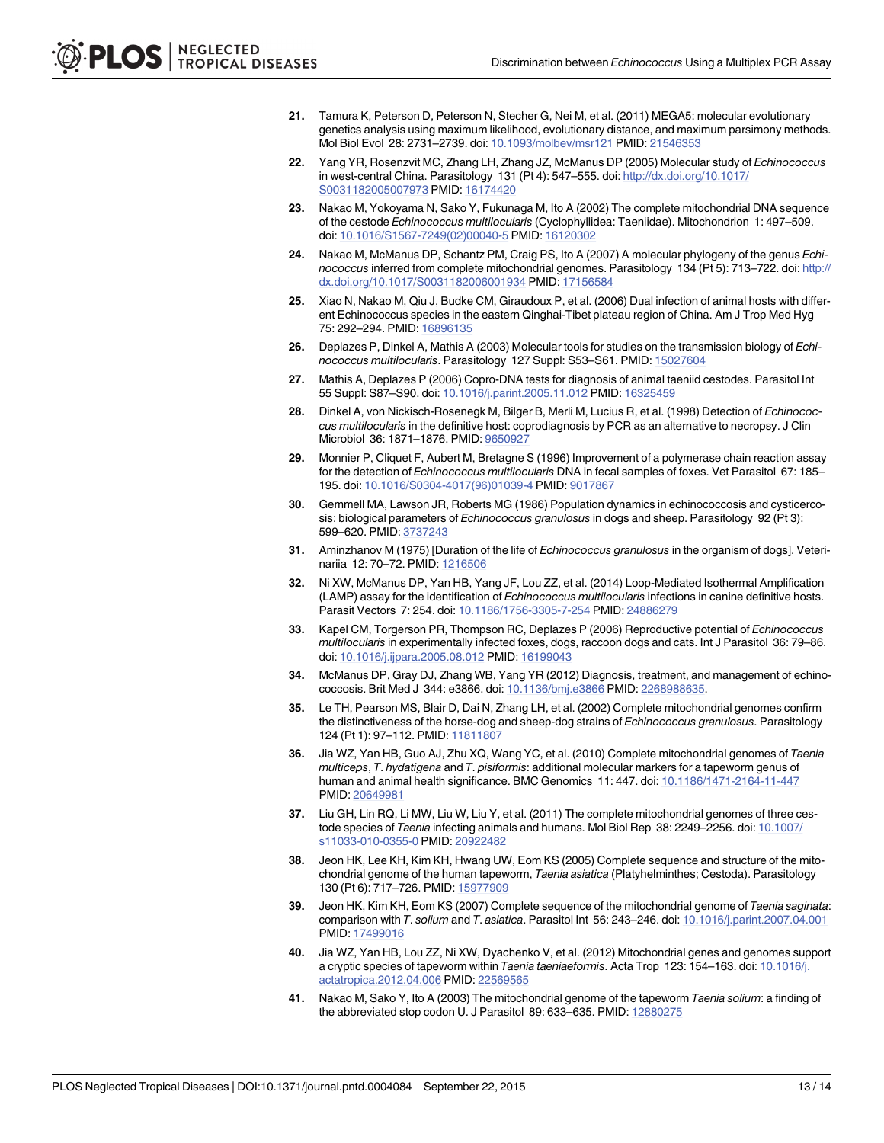- <span id="page-12-0"></span>[21.](#page-4-0) Tamura K, Peterson D, Peterson N, Stecher G, Nei M, et al. (2011) MEGA5: molecular evolutionary genetics analysis using maximum likelihood, evolutionary distance, and maximum parsimony methods. Mol Biol Evol 28: 2731–2739. doi: [10.1093/molbev/msr121](http://dx.doi.org/10.1093/molbev/msr121) PMID: [21546353](http://www.ncbi.nlm.nih.gov/pubmed/21546353)
- [22.](#page-3-0) Yang YR, Rosenzvit MC, Zhang LH, Zhang JZ, McManus DP (2005) Molecular study of Echinococcus in west-central China. Parasitology 131 (Pt 4): 547–555. doi: [http://dx.doi.org/10.1017/](http://dx.doi.org/10.1017/S0031182005007973) [S0031182005007973](http://dx.doi.org/10.1017/S0031182005007973) PMID: [16174420](http://www.ncbi.nlm.nih.gov/pubmed/16174420)
- [23.](#page-3-0) Nakao M, Yokoyama N, Sako Y, Fukunaga M, Ito A (2002) The complete mitochondrial DNA sequence of the cestode Echinococcus multilocularis (Cyclophyllidea: Taeniidae). Mitochondrion 1: 497–509. doi: [10.1016/S1567-7249\(02\)00040-5](http://dx.doi.org/10.1016/S1567-7249(02)00040-5) PMID: [16120302](http://www.ncbi.nlm.nih.gov/pubmed/16120302)
- [24.](#page-3-0) Nakao M, McManus DP, Schantz PM, Craig PS, Ito A (2007) A molecular phylogeny of the genus Echinococcus inferred from complete mitochondrial genomes. Parasitology 134 (Pt 5): 713-722. doi: [http://](http://dx.doi.org/10.1017/S0031182006001934) [dx.doi.org/10.1017/S0031182006001934](http://dx.doi.org/10.1017/S0031182006001934) PMID: [17156584](http://www.ncbi.nlm.nih.gov/pubmed/17156584)
- [25.](#page-9-0) Xiao N, Nakao M, Qiu J, Budke CM, Giraudoux P, et al. (2006) Dual infection of animal hosts with different Echinococcus species in the eastern Qinghai-Tibet plateau region of China. Am J Trop Med Hyg 75: 292–294. PMID: [16896135](http://www.ncbi.nlm.nih.gov/pubmed/16896135)
- [26.](#page-9-0) Deplazes P, Dinkel A, Mathis A (2003) Molecular tools for studies on the transmission biology of Echinococcus multilocularis. Parasitology 127 Suppl: S53–S61. PMID: [15027604](http://www.ncbi.nlm.nih.gov/pubmed/15027604)
- [27.](#page-9-0) Mathis A, Deplazes P (2006) Copro-DNA tests for diagnosis of animal taeniid cestodes. Parasitol Int 55 Suppl: S87–S90. doi: [10.1016/j.parint.2005.11.012](http://dx.doi.org/10.1016/j.parint.2005.11.012) PMID: [16325459](http://www.ncbi.nlm.nih.gov/pubmed/16325459)
- [28.](#page-9-0) Dinkel A, von Nickisch-Rosenegk M, Bilger B, Merli M, Lucius R, et al. (1998) Detection of Echinococcus multilocularis in the definitive host: coprodiagnosis by PCR as an alternative to necropsy. J Clin Microbiol 36: 1871–1876. PMID: [9650927](http://www.ncbi.nlm.nih.gov/pubmed/9650927)
- [29.](#page-9-0) Monnier P, Cliquet F, Aubert M, Bretagne S (1996) Improvement of a polymerase chain reaction assay for the detection of Echinococcus multilocularis DNA in fecal samples of foxes. Vet Parasitol 67: 185– 195. doi: [10.1016/S0304-4017\(96\)01039-4](http://dx.doi.org/10.1016/S0304-4017(96)01039-4) PMID: [9017867](http://www.ncbi.nlm.nih.gov/pubmed/9017867)
- [30.](#page-9-0) Gemmell MA, Lawson JR, Roberts MG (1986) Population dynamics in echinococcosis and cysticercosis: biological parameters of Echinococcus granulosus in dogs and sheep. Parasitology 92 (Pt 3): 599–620. PMID: [3737243](http://www.ncbi.nlm.nih.gov/pubmed/3737243)
- [31.](#page-9-0) Aminzhanov M (1975) [Duration of the life of Echinococcus granulosus in the organism of dogs]. Veterinariia 12: 70–72. PMID: [1216506](http://www.ncbi.nlm.nih.gov/pubmed/1216506)
- [32.](#page-9-0) Ni XW, McManus DP, Yan HB, Yang JF, Lou ZZ, et al. (2014) Loop-Mediated Isothermal Amplification (LAMP) assay for the identification of Echinococcus multilocularis infections in canine definitive hosts. Parasit Vectors 7: 254. doi: [10.1186/1756-3305-7-254](http://dx.doi.org/10.1186/1756-3305-7-254) PMID: [24886279](http://www.ncbi.nlm.nih.gov/pubmed/24886279)
- [33.](#page-9-0) Kapel CM, Torgerson PR, Thompson RC, Deplazes P (2006) Reproductive potential of Echinococcus multilocularis in experimentally infected foxes, dogs, raccoon dogs and cats. Int J Parasitol 36: 79–86. doi: [10.1016/j.ijpara.2005.08.012](http://dx.doi.org/10.1016/j.ijpara.2005.08.012) PMID: [16199043](http://www.ncbi.nlm.nih.gov/pubmed/16199043)
- [34.](#page-9-0) McManus DP, Gray DJ, Zhang WB, Yang YR (2012) Diagnosis, treatment, and management of echinococcosis. Brit Med J 344: e3866. doi: [10.1136/bmj.e3866](http://dx.doi.org/10.1136/bmj.e3866) PMID: [2268988635](http://www.ncbi.nlm.nih.gov/pubmed/2268988635).
- [35.](#page-3-0) Le TH, Pearson MS, Blair D, Dai N, Zhang LH, et al. (2002) Complete mitochondrial genomes confirm the distinctiveness of the horse-dog and sheep-dog strains of Echinococcus granulosus. Parasitology 124 (Pt 1): 97–112. PMID: [11811807](http://www.ncbi.nlm.nih.gov/pubmed/11811807)
- [36.](#page-3-0) Jia WZ, Yan HB, Guo AJ, Zhu XQ, Wang YC, et al. (2010) Complete mitochondrial genomes of Taenia multiceps, T. hydatigena and T. pisiformis: additional molecular markers for a tapeworm genus of human and animal health significance. BMC Genomics 11: 447. doi: [10.1186/1471-2164-11-447](http://dx.doi.org/10.1186/1471-2164-11-447) PMID: [20649981](http://www.ncbi.nlm.nih.gov/pubmed/20649981)
- [37.](#page-3-0) Liu GH, Lin RQ, Li MW, Liu W, Liu Y, et al. (2011) The complete mitochondrial genomes of three ces-tode species of Taenia infecting animals and humans. Mol Biol Rep 38: 2249-2256. doi: [10.1007/](http://dx.doi.org/10.1007/s11033-010-0355-0) [s11033-010-0355-0](http://dx.doi.org/10.1007/s11033-010-0355-0) PMID: [20922482](http://www.ncbi.nlm.nih.gov/pubmed/20922482)
- [38.](#page-3-0) Jeon HK, Lee KH, Kim KH, Hwang UW, Eom KS (2005) Complete sequence and structure of the mitochondrial genome of the human tapeworm, Taenia asiatica (Platyhelminthes; Cestoda). Parasitology 130 (Pt 6): 717–726. PMID: [15977909](http://www.ncbi.nlm.nih.gov/pubmed/15977909)
- [39.](#page-3-0) Jeon HK, Kim KH, Eom KS (2007) Complete sequence of the mitochondrial genome of Taenia saginata: comparison with T. solium and T. asiatica. Parasitol Int 56: 243–246. doi: [10.1016/j.parint.2007.04.001](http://dx.doi.org/10.1016/j.parint.2007.04.001) PMID: [17499016](http://www.ncbi.nlm.nih.gov/pubmed/17499016)
- [40.](#page-3-0) Jia WZ, Yan HB, Lou ZZ, Ni XW, Dyachenko V, et al. (2012) Mitochondrial genes and genomes support a cryptic species of tapeworm within Taenia taeniaeformis. Acta Trop 123: 154-163. doi: [10.1016/j.](http://dx.doi.org/10.1016/j.actatropica.2012.04.006) [actatropica.2012.04.006](http://dx.doi.org/10.1016/j.actatropica.2012.04.006) PMID: [22569565](http://www.ncbi.nlm.nih.gov/pubmed/22569565)
- [41.](#page-3-0) Nakao M, Sako Y, Ito A (2003) The mitochondrial genome of the tapeworm Taenia solium: a finding of the abbreviated stop codon U. J Parasitol 89: 633–635. PMID: [12880275](http://www.ncbi.nlm.nih.gov/pubmed/12880275)